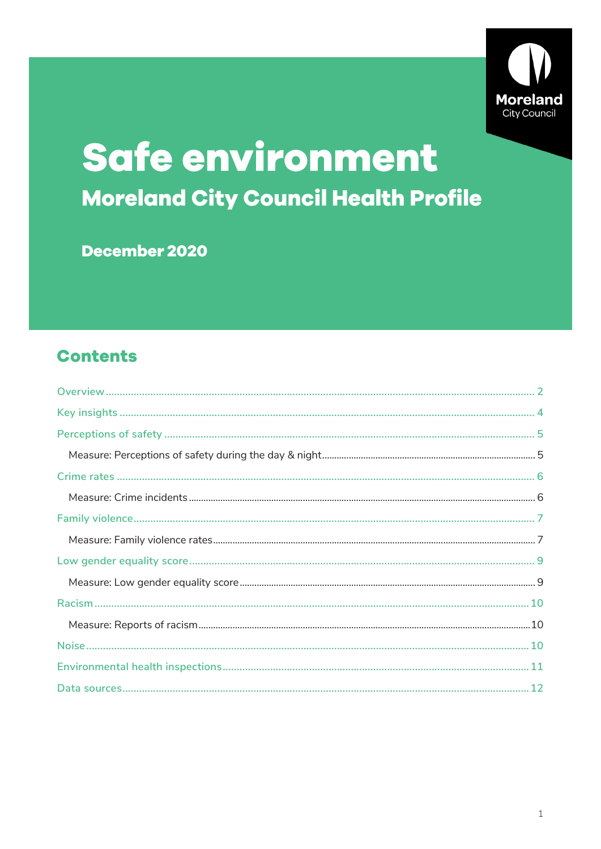

# Safe environment Moreland City Council Health Profile

December 2020

### **Contents**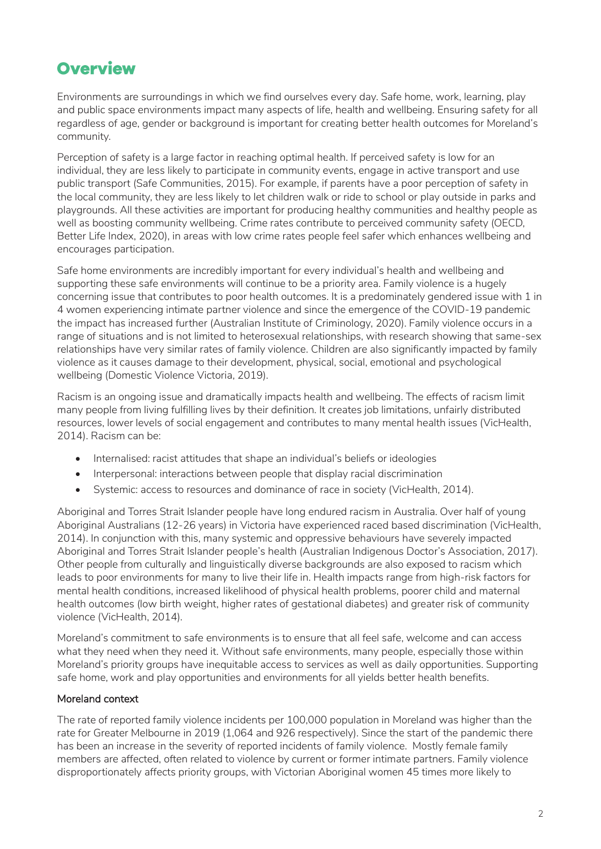### <span id="page-1-0"></span>**Overview**

Environments are surroundings in which we find ourselves every day. Safe home, work, learning, play and public space environments impact many aspects of life, health and wellbeing. Ensuring safety for all regardless of age, gender or background is important for creating better health outcomes for Moreland's community.

Perception of safety is a large factor in reaching optimal health. If perceived safety is low for an individual, they are less likely to participate in community events, engage in active transport and use public transport (Safe Communities, 2015). For example, if parents have a poor perception of safety in the local community, they are less likely to let children walk or ride to school or play outside in parks and playgrounds. All these activities are important for producing healthy communities and healthy people as well as boosting community wellbeing. Crime rates contribute to perceived community safety (OECD, Better Life Index, 2020), in areas with low crime rates people feel safer which enhances wellbeing and encourages participation.

Safe home environments are incredibly important for every individual's health and wellbeing and supporting these safe environments will continue to be a priority area. Family violence is a hugely concerning issue that contributes to poor health outcomes. It is a predominately gendered issue with 1 in 4 women experiencing intimate partner violence and since the emergence of the COVID-19 pandemic the impact has increased further (Australian Institute of Criminology, 2020). Family violence occurs in a range of situations and is not limited to heterosexual relationships, with research showing that same-sex relationships have very similar rates of family violence. Children are also significantly impacted by family violence as it causes damage to their development, physical, social, emotional and psychological wellbeing (Domestic Violence Victoria, 2019).

Racism is an ongoing issue and dramatically impacts health and wellbeing. The effects of racism limit many people from living fulfilling lives by their definition. It creates job limitations, unfairly distributed resources, lower levels of social engagement and contributes to many mental health issues (VicHealth, 2014). Racism can be:

- Internalised: racist attitudes that shape an individual's beliefs or ideologies
- Interpersonal: interactions between people that display racial discrimination
- Systemic: access to resources and dominance of race in society (VicHealth, 2014).

Aboriginal and Torres Strait Islander people have long endured racism in Australia. Over half of young Aboriginal Australians (12-26 years) in Victoria have experienced raced based discrimination (VicHealth, 2014). In conjunction with this, many systemic and oppressive behaviours have severely impacted Aboriginal and Torres Strait Islander people's health (Australian Indigenous Doctor's Association, 2017). Other people from culturally and linguistically diverse backgrounds are also exposed to racism which leads to poor environments for many to live their life in. Health impacts range from high-risk factors for mental health conditions, increased likelihood of physical health problems, poorer child and maternal health outcomes (low birth weight, higher rates of gestational diabetes) and greater risk of community violence (VicHealth, 2014).

Moreland's commitment to safe environments is to ensure that all feel safe, welcome and can access what they need when they need it. Without safe environments, many people, especially those within Moreland's priority groups have inequitable access to services as well as daily opportunities. Supporting safe home, work and play opportunities and environments for all yields better health benefits.

### Moreland context

The rate of reported family violence incidents per 100,000 population in Moreland was higher than the rate for Greater Melbourne in 2019 (1,064 and 926 respectively). Since the start of the pandemic there has been an increase in the severity of reported incidents of family violence. Mostly female family members are affected, often related to violence by current or former intimate partners. Family violence disproportionately affects priority groups, with Victorian Aboriginal women 45 times more likely to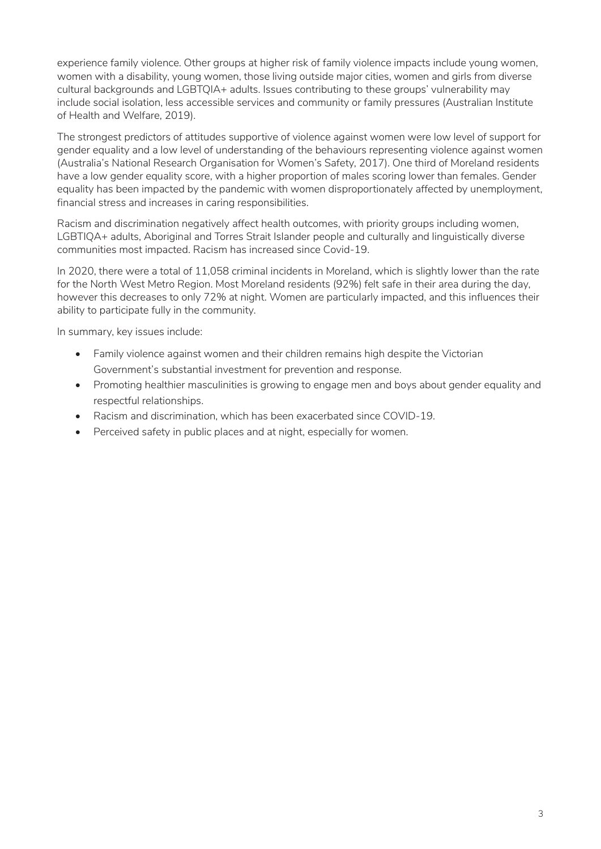experience family violence. Other groups at higher risk of family violence impacts include young women, women with a disability, young women, those living outside major cities, women and girls from diverse cultural backgrounds and LGBTQIA+ adults. Issues contributing to these groups' vulnerability may include social isolation, less accessible services and community or family pressures (Australian Institute of Health and Welfare, 2019).

The strongest predictors of attitudes supportive of violence against women were low level of support for gender equality and a low level of understanding of the behaviours representing violence against women (Australia's National Research Organisation for Women's Safety, 2017). One third of Moreland residents have a low gender equality score, with a higher proportion of males scoring lower than females. Gender equality has been impacted by the pandemic with women disproportionately affected by unemployment, financial stress and increases in caring responsibilities.

Racism and discrimination negatively affect health outcomes, with priority groups including women, LGBTIQA+ adults, Aboriginal and Torres Strait Islander people and culturally and linguistically diverse communities most impacted. Racism has increased since Covid-19.

In 2020, there were a total of 11,058 criminal incidents in Moreland, which is slightly lower than the rate for the North West Metro Region. Most Moreland residents (92%) felt safe in their area during the day, however this decreases to only 72% at night. Women are particularly impacted, and this influences their ability to participate fully in the community.

In summary, key issues include:

- Family violence against women and their children remains high despite the Victorian Government's substantial investment for prevention and response.
- Promoting healthier masculinities is growing to engage men and boys about gender equality and respectful relationships.
- Racism and discrimination, which has been exacerbated since COVID-19.
- Perceived safety in public places and at night, especially for women.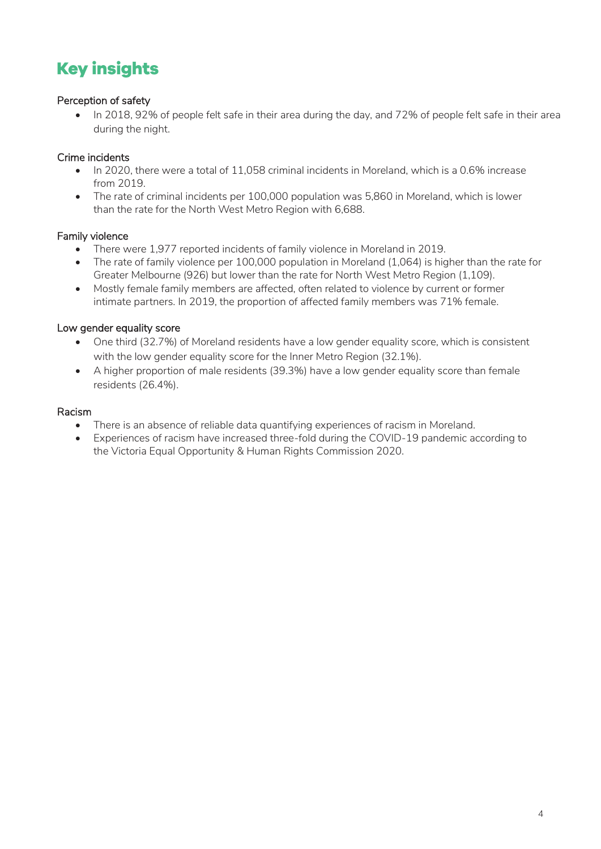# <span id="page-3-0"></span>**Key insights**

### Perception of safety

• In 2018, 92% of people felt safe in their area during the day, and 72% of people felt safe in their area during the night.

### Crime incidents

- In 2020, there were a total of 11,058 criminal incidents in Moreland, which is a 0.6% increase from 2019.
- The rate of criminal incidents per 100,000 population was 5,860 in Moreland, which is lower than the rate for the North West Metro Region with 6,688.

### Family violence

- There were 1,977 reported incidents of family violence in Moreland in 2019.
- The rate of family violence per 100,000 population in Moreland (1,064) is higher than the rate for Greater Melbourne (926) but lower than the rate for North West Metro Region (1,109).
- Mostly female family members are affected, often related to violence by current or former intimate partners. In 2019, the proportion of affected family members was 71% female.

### Low gender equality score

- One third (32.7%) of Moreland residents have a low gender equality score, which is consistent with the low gender equality score for the Inner Metro Region (32.1%).
- A higher proportion of male residents (39.3%) have a low gender equality score than female residents (26.4%).

### Racism

- There is an absence of reliable data quantifying experiences of racism in Moreland.
- Experiences of racism have increased three-fold during the COVID-19 pandemic according to the Victoria Equal Opportunity & Human Rights Commission 2020.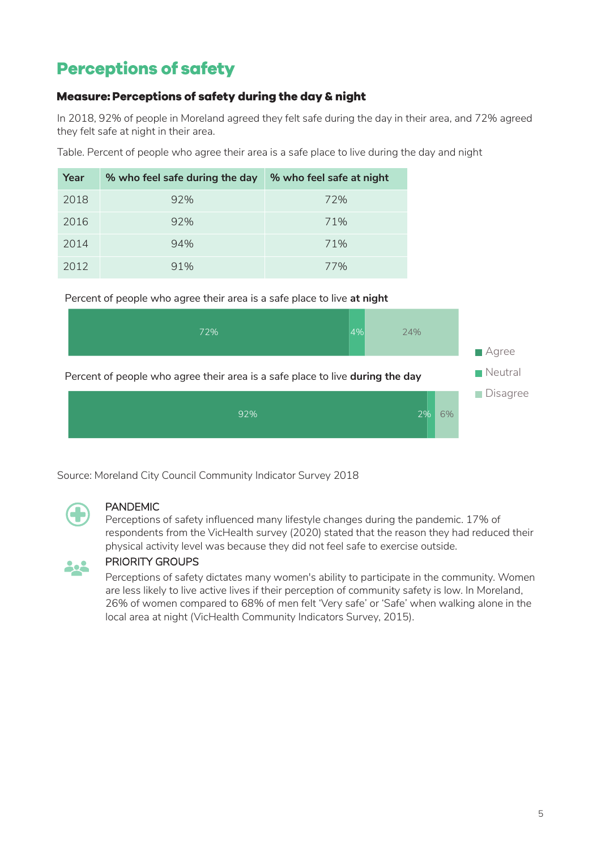# <span id="page-4-0"></span>**Perceptions of safety**

### <span id="page-4-1"></span>Measure: Perceptions of safety during the day & night

In 2018, 92% of people in Moreland agreed they felt safe during the day in their area, and 72% agreed they felt safe at night in their area.

Table. Percent of people who agree their area is a safe place to live during the day and night

| Year | % who feel safe during the day | % who feel safe at night |
|------|--------------------------------|--------------------------|
| 2018 | 92%                            | 72%                      |
| 2016 | 92%                            | 71%                      |
| 2014 | 94%                            | 71%                      |
| 2012 | 91%                            | 77%                      |



Source: Moreland City Council Community Indicator Survey 2018



### PANDEMIC

Perceptions of safety influenced many lifestyle changes during the pandemic. 17% of respondents from the VicHealth survey (2020) stated that the reason they had reduced their physical activity level was because they did not feel safe to exercise outside.



### PRIORITY GROUPS

Perceptions of safety dictates many women's ability to participate in the community. Women are less likely to live active lives if their perception of community safety is low. In Moreland, 26% of women compared to 68% of men felt 'Very safe' or 'Safe' when walking alone in the local area at night (VicHealth Community Indicators Survey, 2015).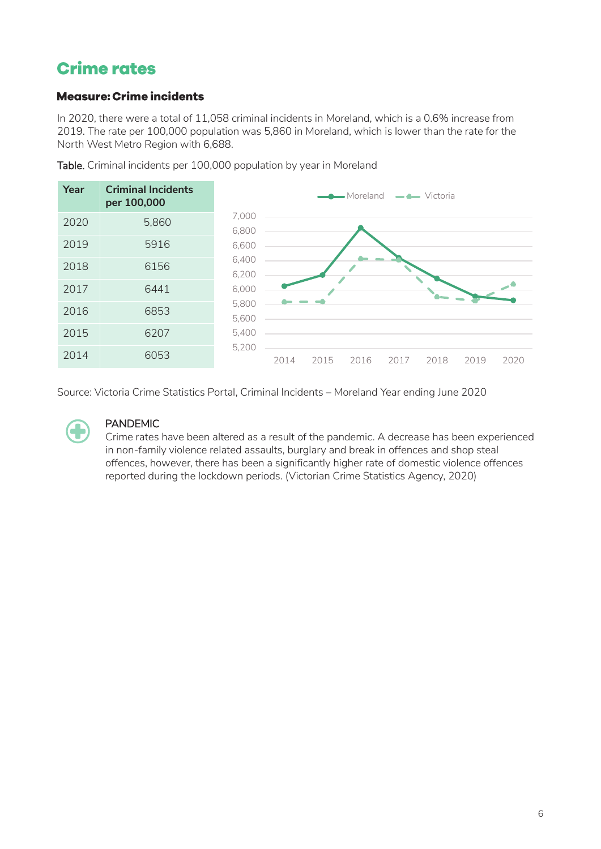## <span id="page-5-0"></span>**Crime rates**

### <span id="page-5-1"></span>**Measure: Crime incidents**

In 2020, there were a total of 11,058 criminal incidents in Moreland, which is a 0.6% increase from 2019. The rate per 100,000 population was 5,860 in Moreland, which is lower than the rate for the North West Metro Region with 6,688.



Table. Criminal incidents per 100,000 population by year in Moreland

Source: Victoria Crime Statistics Portal, Criminal Incidents – Moreland Year ending June 2020



### PANDEMIC

Crime rates have been altered as a result of the pandemic. A decrease has been experienced in non-family violence related assaults, burglary and break in offences and shop steal offences, however, there has been a significantly higher rate of domestic violence offences reported during the lockdown periods. (Victorian Crime Statistics Agency, 2020)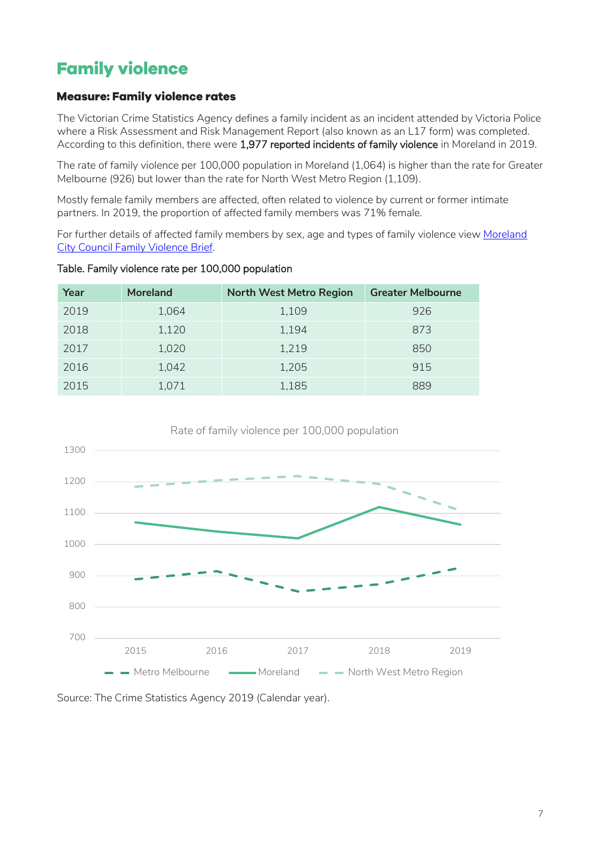# <span id="page-6-0"></span>**Family violence**

### <span id="page-6-1"></span>**Measure: Family violence rates**

The Victorian Crime Statistics Agency defines a family incident as an incident attended by Victoria Police where a Risk Assessment and Risk Management Report (also known as an L17 form) was completed. According to this definition, there were 1,977 reported incidents of family violence in Moreland in 2019.

The rate of family violence per 100,000 population in Moreland (1,064) is higher than the rate for Greater Melbourne (926) but lower than the rate for North West Metro Region (1,109).

Mostly female family members are affected, often related to violence by current or former intimate partners. In 2019, the proportion of affected family members was 71% female.

For further details of affected family members by sex, age and types of family violence view Moreland [City Council Family Violence Brief.](https://www.moreland.vic.gov.au/globalassets/areas/researchlib-6733/vulnerable-population-brief---family-violence-v3.pdf)

| Year | <b>Moreland</b> | <b>North West Metro Region</b> | <b>Greater Melbourne</b> |
|------|-----------------|--------------------------------|--------------------------|
| 2019 | 1,064           | 1,109                          | 926                      |
| 2018 | 1,120           | 1,194                          | 873                      |
| 2017 | 1,020           | 1,219                          | 850                      |
| 2016 | 1,042           | 1,205                          | 915                      |
| 2015 | 1,071           | 1,185                          | 889                      |

Table. Family violence rate per 100,000 population



Rate of family violence per 100,000 population

Source: The Crime Statistics Agency 2019 (Calendar year).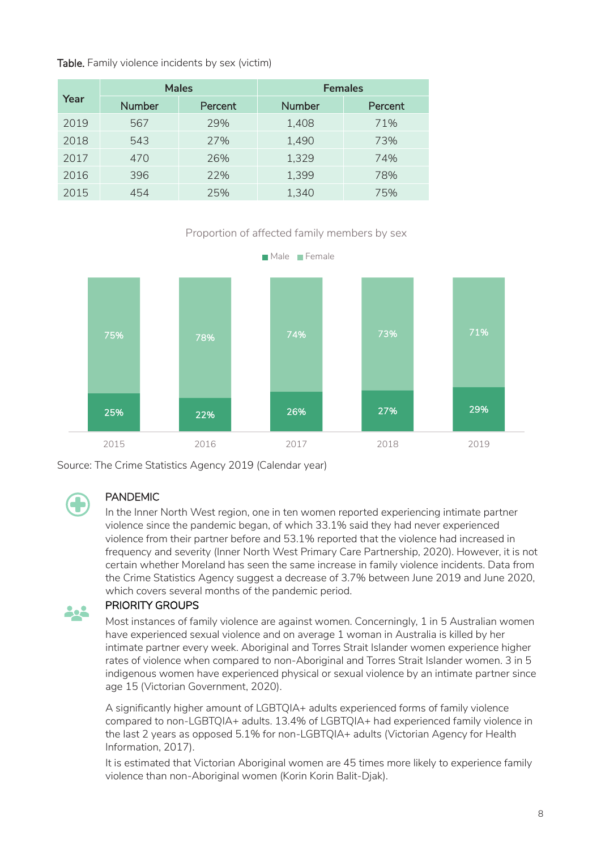### Table. Family violence incidents by sex (victim)

|      | <b>Males</b>  |         | <b>Females</b> |         |
|------|---------------|---------|----------------|---------|
| Year | <b>Number</b> | Percent | <b>Number</b>  | Percent |
| 2019 | 567           | 29%     | 1,408          | 71%     |
| 2018 | 543           | 27%     | 1,490          | 73%     |
| 2017 | 470           | 26%     | 1,329          | 74%     |
| 2016 | 396           | 22%     | 1,399          | 78%     |
| 2015 | 454           | 25%     | 1,340          | 75%     |

### Proportion of affected family members by sex



Source: The Crime Statistics Agency 2019 (Calendar year)



### PANDEMIC

In the Inner North West region, one in ten women reported experiencing intimate partner violence since the pandemic began, of which 33.1% said they had never experienced violence from their partner before and 53.1% reported that the violence had increased in frequency and severity (Inner North West Primary Care Partnership, 2020). However, it is not certain whether Moreland has seen the same increase in family violence incidents. Data from the Crime Statistics Agency suggest a decrease of 3.7% between June 2019 and June 2020, which covers several months of the pandemic period.

#### PRIORITY GROUPS 202

Most instances of family violence are against women. Concerningly, 1 in 5 Australian women have experienced sexual violence and on average 1 woman in Australia is killed by her intimate partner every week. Aboriginal and Torres Strait Islander women experience higher rates of violence when compared to non-Aboriginal and Torres Strait Islander women. 3 in 5 indigenous women have experienced physical or sexual violence by an intimate partner since age 15 (Victorian Government, 2020).

A significantly higher amount of LGBTQIA+ adults experienced forms of family violence compared to non-LGBTQIA+ adults. 13.4% of LGBTQIA+ had experienced family violence in the last 2 years as opposed 5.1% for non-LGBTQIA+ adults (Victorian Agency for Health Information, 2017).

It is estimated that Victorian Aboriginal women are 45 times more likely to experience family violence than non-Aboriginal women (Korin Korin Balit-Djak).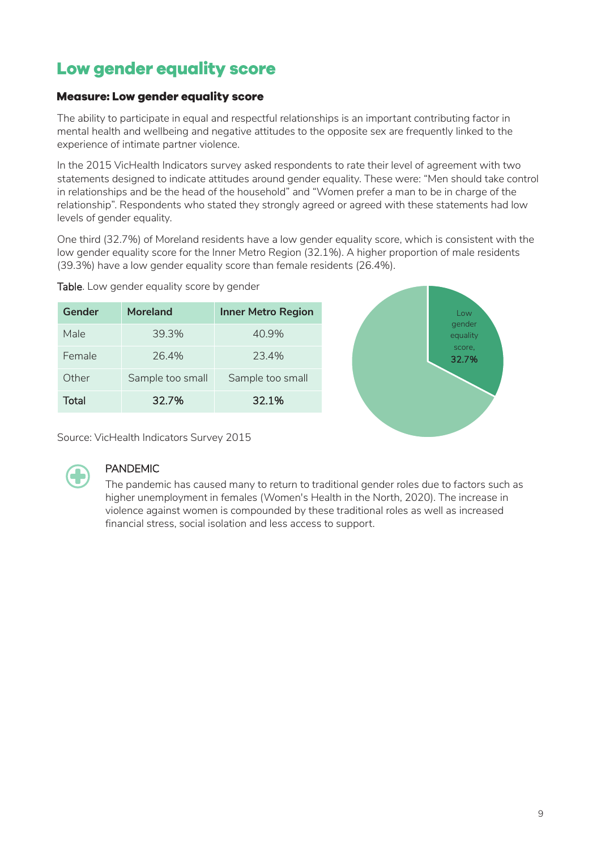# <span id="page-8-0"></span>Low gender equality score

### <span id="page-8-1"></span>**Measure: Low gender equality score**

The ability to participate in equal and respectful relationships is an important contributing factor in mental health and wellbeing and negative attitudes to the opposite sex are frequently linked to the experience of intimate partner violence.

In the 2015 VicHealth Indicators survey asked respondents to rate their level of agreement with two statements designed to indicate attitudes around gender equality. These were: "Men should take control in relationships and be the head of the household" and "Women prefer a man to be in charge of the relationship". Respondents who stated they strongly agreed or agreed with these statements had low levels of gender equality.

One third (32.7%) of Moreland residents have a low gender equality score, which is consistent with the low gender equality score for the Inner Metro Region (32.1%). A higher proportion of male residents (39.3%) have a low gender equality score than female residents (26.4%).

| Gender | Moreland         | <b>Inner Metro Region</b> |
|--------|------------------|---------------------------|
| Male   | 39.3%            | 40.9%                     |
| Female | 26.4%            | 23.4%                     |
| Other  | Sample too small | Sample too small          |
| Total  | 32.7%            | 32.1%                     |





Source: VicHealth Indicators Survey 2015



### PANDEMIC

The pandemic has caused many to return to traditional gender roles due to factors such as higher unemployment in females (Women's Health in the North, 2020). The increase in violence against women is compounded by these traditional roles as well as increased financial stress, social isolation and less access to support.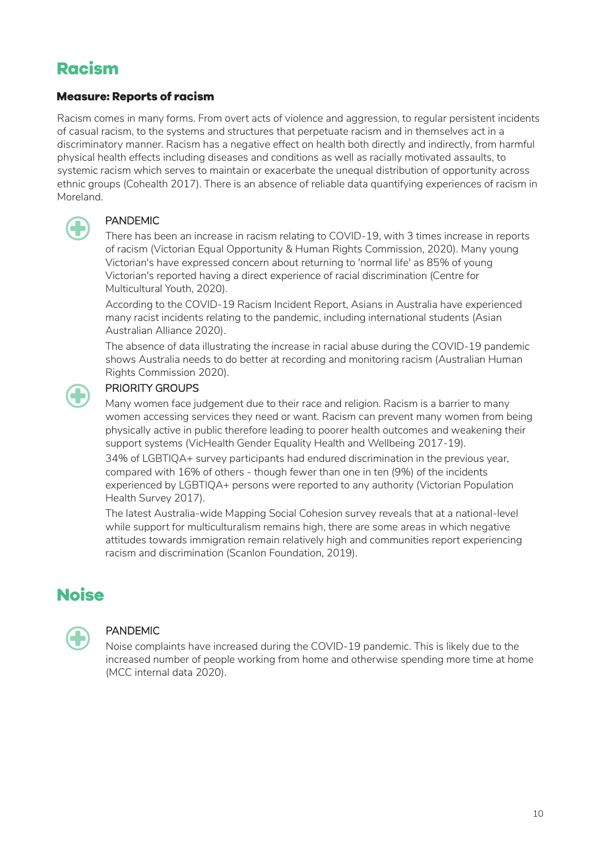# <span id="page-9-0"></span>**Racism**

### <span id="page-9-1"></span>**Measure: Reports of racism**

Racism comes in many forms. From overt acts of violence and aggression, to regular persistent incidents of casual racism, to the systems and structures that perpetuate racism and in themselves act in a discriminatory manner. Racism has a negative effect on health both directly and indirectly, from harmful physical health effects including diseases and conditions as well as racially motivated assaults, to systemic racism which serves to maintain or exacerbate the unequal distribution of opportunity across ethnic groups (Cohealth 2017). There is an absence of reliable data quantifying experiences of racism in Moreland.



### PANDEMIC

There has been an increase in racism relating to COVID-19, with 3 times increase in reports of racism (Victorian Equal Opportunity & Human Rights Commission, 2020). Many young Victorian's have expressed concern about returning to 'normal life' as 85% of young Victorian's reported having a direct experience of racial discrimination (Centre for Multicultural Youth, 2020).

According to the COVID-19 Racism Incident Report, Asians in Australia have experienced many racist incidents relating to the pandemic, including international students (Asian Australian Alliance 2020).

The absence of data illustrating the increase in racial abuse during the COVID-19 pandemic shows Australia needs to do better at recording and monitoring racism (Australian Human Rights Commission 2020).

### PRIORITY GROUPS

Many women face judgement due to their race and religion. Racism is a barrier to many women accessing services they need or want. Racism can prevent many women from being physically active in public therefore leading to poorer health outcomes and weakening their support systems (VicHealth Gender Equality Health and Wellbeing 2017-19).

34% of LGBTIQA+ survey participants had endured discrimination in the previous year, compared with 16% of others - though fewer than one in ten (9%) of the incidents experienced by LGBTIQA+ persons were reported to any authority (Victorian Population Health Survey 2017).

The latest Australia-wide Mapping Social Cohesion survey reveals that at a national-level while support for multiculturalism remains high, there are some areas in which negative attitudes towards immigration remain relatively high and communities report experiencing racism and discrimination (Scanlon Foundation, 2019).

### <span id="page-9-2"></span>**Noise**



### PANDEMIC

Noise complaints have increased during the COVID-19 pandemic. This is likely due to the increased number of people working from home and otherwise spending more time at home (MCC internal data 2020).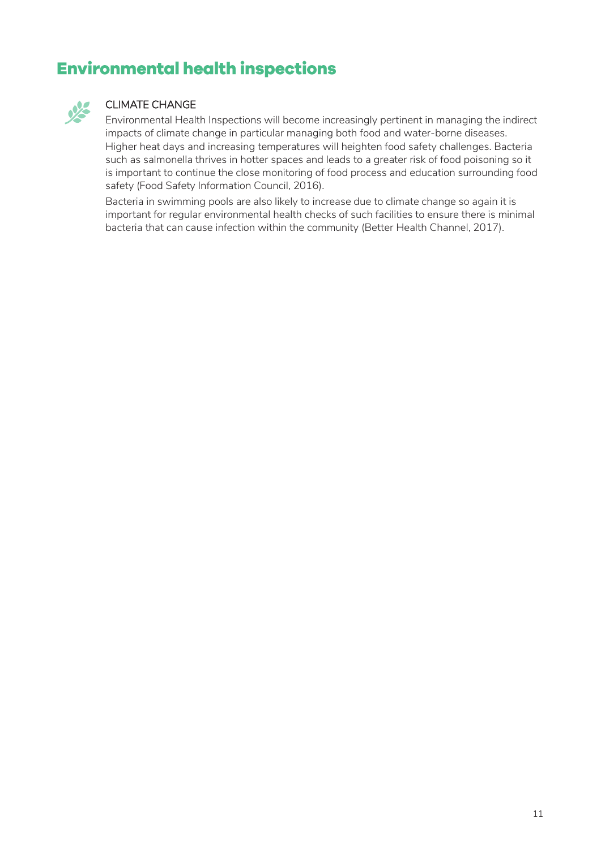# <span id="page-10-0"></span>**Environmental health inspections**



### CLIMATE CHANGE

Environmental Health Inspections will become increasingly pertinent in managing the indirect impacts of climate change in particular managing both food and water-borne diseases. Higher heat days and increasing temperatures will heighten food safety challenges. Bacteria such as salmonella thrives in hotter spaces and leads to a greater risk of food poisoning so it is important to continue the close monitoring of food process and education surrounding food safety (Food Safety Information Council, 2016).

Bacteria in swimming pools are also likely to increase due to climate change so again it is important for regular environmental health checks of such facilities to ensure there is minimal bacteria that can cause infection within the community (Better Health Channel, 2017).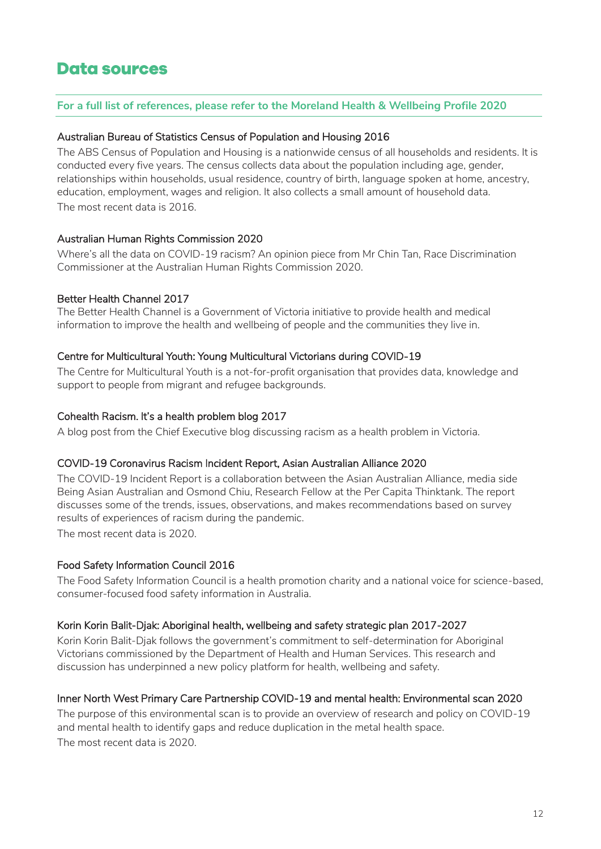### <span id="page-11-0"></span>**Data sources**

### **For a full list of references, please refer to the Moreland Health & Wellbeing Profile 2020**

### Australian Bureau of Statistics Census of Population and Housing 2016

The ABS Census of Population and Housing is a nationwide census of all households and residents. It is conducted every five years. The census collects data about the population including age, gender, relationships within households, usual residence, country of birth, language spoken at home, ancestry, education, employment, wages and religion. It also collects a small amount of household data. The most recent data is 2016.

### Australian Human Rights Commission 2020

Where's all the data on COVID-19 racism? An opinion piece from Mr Chin Tan, Race Discrimination Commissioner at the Australian Human Rights Commission 2020.

### Better Health Channel 2017

The Better Health Channel is a Government of Victoria initiative to provide health and medical information to improve the health and wellbeing of people and the communities they live in.

### Centre for Multicultural Youth: Young Multicultural Victorians during COVID-19

The Centre for Multicultural Youth is a not-for-profit organisation that provides data, knowledge and support to people from migrant and refugee backgrounds.

### Cohealth Racism. It's a health problem blog 2017

A blog post from the Chief Executive blog discussing racism as a health problem in Victoria.

### COVID-19 Coronavirus Racism Incident Report, Asian Australian Alliance 2020

The COVID-19 Incident Report is a collaboration between the Asian Australian Alliance, media side Being Asian Australian and Osmond Chiu, Research Fellow at the Per Capita Thinktank. The report discusses some of the trends, issues, observations, and makes recommendations based on survey results of experiences of racism during the pandemic.

The most recent data is 2020.

### Food Safety Information Council 2016

The Food Safety Information Council is a health promotion charity and a national voice for science-based, consumer-focused food safety information in Australia.

### Korin Korin Balit-Djak: Aboriginal health, wellbeing and safety strategic plan 2017-2027

Korin Korin Balit-Djak follows the government's commitment to self-determination for Aboriginal Victorians commissioned by the Department of Health and Human Services. This research and discussion has underpinned a new policy platform for health, wellbeing and safety.

### Inner North West Primary Care Partnership COVID-19 and mental health: Environmental scan 2020

The purpose of this environmental scan is to provide an overview of research and policy on COVID-19 and mental health to identify gaps and reduce duplication in the metal health space. The most recent data is 2020.